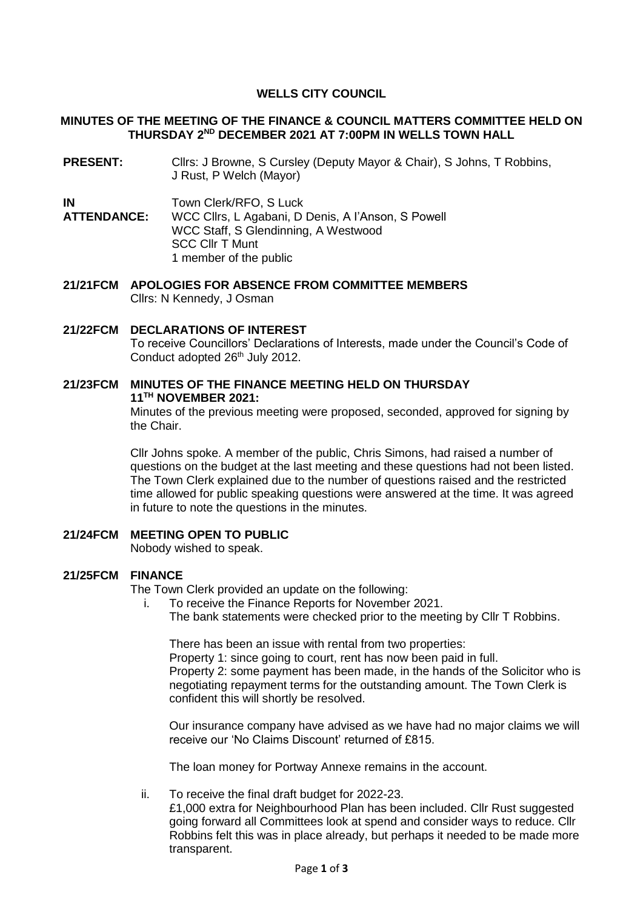# **WELLS CITY COUNCIL**

### **MINUTES OF THE MEETING OF THE FINANCE & COUNCIL MATTERS COMMITTEE HELD ON THURSDAY 2 ND DECEMBER 2021 AT 7:00PM IN WELLS TOWN HALL**

**PRESENT:** Cllrs: J Browne, S Cursley (Deputy Mayor & Chair), S Johns, T Robbins, J Rust, P Welch (Mayor)

**IN** Town Clerk/RFO, S Luck

**ATTENDANCE:** WCC Cllrs, L Agabani, D Denis, A I'Anson, S Powell WCC Staff, S Glendinning, A Westwood SCC Cllr T Munt 1 member of the public

**21/21FCM APOLOGIES FOR ABSENCE FROM COMMITTEE MEMBERS** Cllrs: N Kennedy, J Osman

**21/22FCM DECLARATIONS OF INTEREST**  To receive Councillors' Declarations of Interests, made under the Council's Code of Conduct adopted 26<sup>th</sup> July 2012.

# **21/23FCM MINUTES OF THE FINANCE MEETING HELD ON THURSDAY 11 TH NOVEMBER 2021:**

Minutes of the previous meeting were proposed, seconded, approved for signing by the Chair.

Cllr Johns spoke. A member of the public, Chris Simons, had raised a number of questions on the budget at the last meeting and these questions had not been listed. The Town Clerk explained due to the number of questions raised and the restricted time allowed for public speaking questions were answered at the time. It was agreed in future to note the questions in the minutes.

## **21/24FCM MEETING OPEN TO PUBLIC**

Nobody wished to speak.

#### **21/25FCM FINANCE**

The Town Clerk provided an update on the following:

- i. To receive the Finance Reports for November 2021.
	- The bank statements were checked prior to the meeting by Cllr T Robbins.

There has been an issue with rental from two properties:

Property 1: since going to court, rent has now been paid in full. Property 2: some payment has been made, in the hands of the Solicitor who is negotiating repayment terms for the outstanding amount. The Town Clerk is confident this will shortly be resolved.

Our insurance company have advised as we have had no major claims we will receive our 'No Claims Discount' returned of £815.

The loan money for Portway Annexe remains in the account.

ii. To receive the final draft budget for 2022-23.

£1,000 extra for Neighbourhood Plan has been included. Cllr Rust suggested going forward all Committees look at spend and consider ways to reduce. Cllr Robbins felt this was in place already, but perhaps it needed to be made more transparent.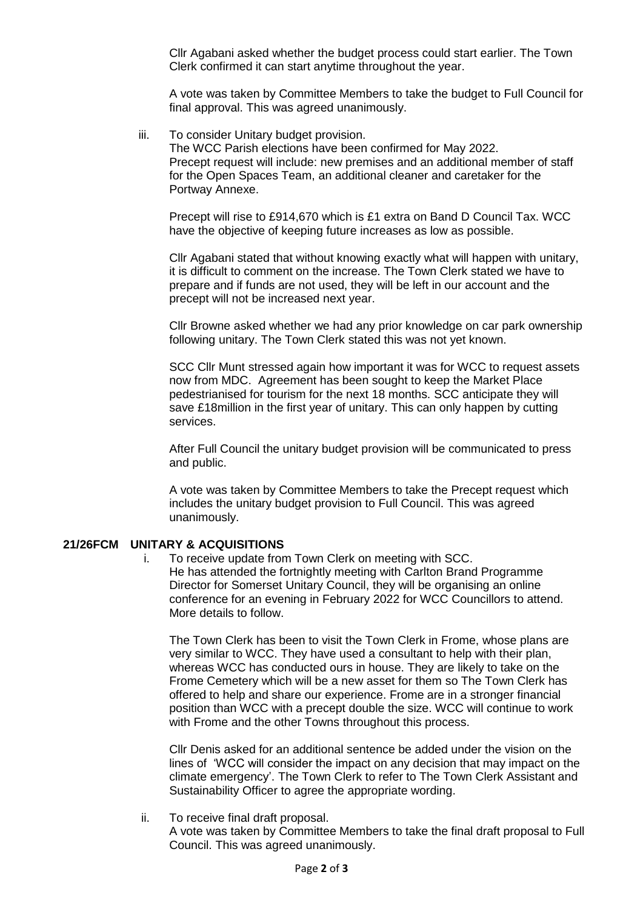Cllr Agabani asked whether the budget process could start earlier. The Town Clerk confirmed it can start anytime throughout the year.

A vote was taken by Committee Members to take the budget to Full Council for final approval. This was agreed unanimously.

iii. To consider Unitary budget provision.

The WCC Parish elections have been confirmed for May 2022. Precept request will include: new premises and an additional member of staff for the Open Spaces Team, an additional cleaner and caretaker for the Portway Annexe.

Precept will rise to £914,670 which is £1 extra on Band D Council Tax. WCC have the objective of keeping future increases as low as possible.

Cllr Agabani stated that without knowing exactly what will happen with unitary, it is difficult to comment on the increase. The Town Clerk stated we have to prepare and if funds are not used, they will be left in our account and the precept will not be increased next year.

Cllr Browne asked whether we had any prior knowledge on car park ownership following unitary. The Town Clerk stated this was not yet known.

SCC Cllr Munt stressed again how important it was for WCC to request assets now from MDC. Agreement has been sought to keep the Market Place pedestrianised for tourism for the next 18 months. SCC anticipate they will save £18million in the first year of unitary. This can only happen by cutting services.

After Full Council the unitary budget provision will be communicated to press and public.

A vote was taken by Committee Members to take the Precept request which includes the unitary budget provision to Full Council. This was agreed unanimously.

### **21/26FCM UNITARY & ACQUISITIONS**

i. To receive update from Town Clerk on meeting with SCC. He has attended the fortnightly meeting with Carlton Brand Programme Director for Somerset Unitary Council, they will be organising an online conference for an evening in February 2022 for WCC Councillors to attend. More details to follow.

The Town Clerk has been to visit the Town Clerk in Frome, whose plans are very similar to WCC. They have used a consultant to help with their plan, whereas WCC has conducted ours in house. They are likely to take on the Frome Cemetery which will be a new asset for them so The Town Clerk has offered to help and share our experience. Frome are in a stronger financial position than WCC with a precept double the size. WCC will continue to work with Frome and the other Towns throughout this process.

Cllr Denis asked for an additional sentence be added under the vision on the lines of 'WCC will consider the impact on any decision that may impact on the climate emergency'. The Town Clerk to refer to The Town Clerk Assistant and Sustainability Officer to agree the appropriate wording.

ii. To receive final draft proposal.

A vote was taken by Committee Members to take the final draft proposal to Full Council. This was agreed unanimously.